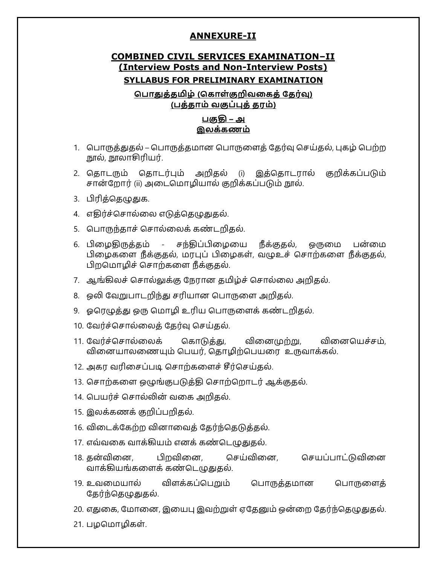#### **ANNEXURE-II**

# **COMBINED CIVIL SERVICES EXAMINATION-II (Interview Posts and Non-Interview Posts)**

#### **SYLLABUS FOR PRELIMINARY EXAMINATION**

#### பொதுத்தமிழ் (கொள்குறிவகைத் தேர்வு) <u>(பத்தாம் வகுப்புக் கர</u>ம்)

#### பகுதி – அ இலக்கணம்

- 1. பொருத்துதல் பொருத்தமான பொருளைத் தேர்வு செய்தல், புகழ் பெற்ற நூல், நூலாசிரியர்.
- 2. தொடரும் தொடர்பும் அறிதல் (i) இத்தொடரால் குறிக்கப்படும் சான்றோர் (ii) அடைமொழியால் குறிக்கப்படும் நூல்.
- 3. பிரித்தெழுதுக.
- 4. எதிர்ச்சொல்லை எடுத்தெழுதுதல்.
- 5. பொருந்தாச் சொல்லைக் கண்டறிதல்.
- 6. பிழைகிருத்தம் சந்திப்பிழையை நீக்குதல், ஒருமை பன்மை பிழைகளை நீக்குதல், மரபுப் பிழைகள், வழுஉச் சொற்களை நீக்குதல், பிறமொழிச் சொற்களை நீக்குதல்.
- 7. ஆங்கிலச் சொல்லுக்கு நேரான தமிழ்ச் சொல்லை அறிதல்.
- 8. ஒலி வேறுபாடறிந்து சரியான பொருளை அறிதல்.
- 9. ஓரெழுத்து ஒரு மொழி உரிய பொருளைக் கண்டறிதல்.
- 10. வேர்ச்சொல்லைத் தேர்வு செய்தல்.
- 11. வேர்ச்சொல்லைக் கொடுத்து, வினைமுற்று, வினையெச்சம், வினையாலணையும் பெயர், தொழிற்பெயரை உருவாக்கல்.
- 12. அகர வரிசைப்படி சொற்களைச் சீர்செய்தல்.
- 13. சொற்களை ஒழுங்குபடுத்தி சொற்றொடர் ஆக்குதல்.
- 14. பெயர்ச் சொல்லின் வகை அறிகல்.
- 15. இலக்கணக் குறிப்பறிதல்.
- 16. விடைக்கேற்ற வினாவைத் தேர்ந்தெடுத்தல்.
- 17. எவ்வகை வாக்கியம் எனக் கண்டெழுதுதல்.
- 18. ஜ௳, அ௳, ஃஜ௳, ஃஜஏஜ௳ வாக்கியங்களைக் கண்டெழுதுகல்.
- 19. உவமையால் விளக்கப்பெறும் பொருத்தமான பொருளைத் தேர்ந்தெழுதுதல்.
- 20. எதுகை, மோனை, இயைபு இவற்றுள் ஏதேனும் ஒன்றை தேர்ந்தெழுதுதல்.
- 21. பழமொழிகள்.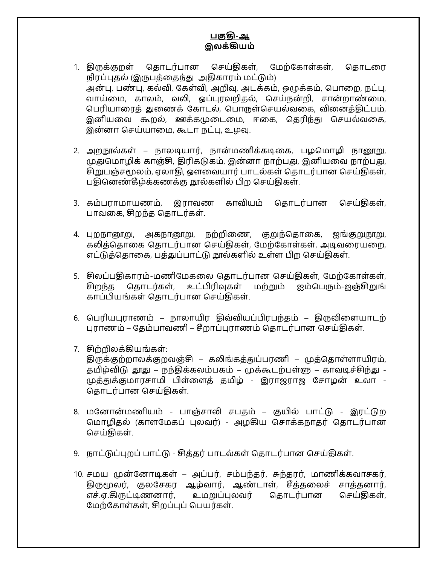#### பகு<del>க</del>ி-ஆ இலக்கியம்

- 1. கிருக்குறள் தொடர்பான செய்திகள், மேற்கோள்கள், தொடரை நிரப்புதல் (இருபத்தைந்து அதிகாரம் மட்டும்) அன்பு, பண்பு, கல்வி, கேள்வி, அறிவு, அடக்கம், ஒழுக்கம், பொறை, நட்பு, வாய்மை, காலம், வலி, ஒப்புரவறிகல், செய்நன்றி, சான்றாண்மை, பெரியாரைத் தனைக் கோடல், பொருள்செயல்வகை, வினைத்திட்பம், இனியவை கூறல், ஊக்கமுடைமை, ஈகை, தெரிந்து செயல்வகை, இன்னா செய்யாமை, கூடா நட்பு, உழவு.
- 2. அறநூல்கள் நாலடியார், நான்மணிக்கடிகை, பழமொழி நானூறு, முதுமொழிக் காஞ்சி, திரிகடுகம், இன்னா நாற்பது, இனியவை நாற்பது, சிறுபஞ்சமூலம், ஏலாதி, ஔவையார் பாடல்கள் தொடர்பான செய்திகள், பதினெண்கீழ்க்கணக்கு நூல்களில் பிற செய்திகள்.
- 3. கம்பராமாயணம், இராவண காவியம் தொடர்பான செய்திகள், பாவகை, சிறந்த தொடர்கள்.
- 4. புறநானூறு, அகநானூறு, நற்றிணை, குறுந்தொகை, ஐங்குறுநூறு, கலித்தொகை தொடர்பான செய்திகள், மேற்கோள்கள், அடிவரையறை, எட்டுத்தொகை, பத்துப்பாட்டு நூல்களில் உள்ள பிற செய்திகள்.
- 5. சிலப்பதிகாரம்-மணிமேகலை தொடர்பான செய்திகள், மேற்கோள்கள், சிறந்த தொடர்கள், உட்பிரிவுகள் மற்றும் ஐம்பெரும்-ஐஞ்சிறுங் காப்பியங்கள் தொடர்பான செய்திகள்.
- 6. பெரியபுராணம் நாலாயிர திவ்வியப்பிரபந்தம் திருவிளையாடற் புராணம் – தேம்பாவணி – சீறாப்புராணம் தொடர்பான செய்திகள்.
- 7. சிற்றிலக்கியங்கள்: திருக்குற்றாலக்குறவஞ்சி – கலிங்கத்துப்பரணி – முத்தொள்ளாயிரம், தமிழ்விடு தூது – நந்திக்கலம்பகம் – முக்கூடற்பள்ளு – காவடிச்சிந்து -முத்துக்குமாரசாமி பிள்ளைத் தமிழ் - இராஜராஜ சோழன் உலா -தொடர்பான செய்திகள்.
- 8. மனோன்மணியம் பாஞ்சாலி சபதம் குயில் பாட்டு இரட்டுற மொழிதல் (காளமேகப் புலவர்) - அழகிய சொக்கநாதர் தொடர்பான செய்திகள்.
- 9. நாட்டுப்புறப் பாட்டு சித்தர் பாடல்கள் தொடர்பான செய்திகள்.
- 10. சமய முன்னோடிகள் அப்பர், சம்பந்தர், சுந்தரர், மாணிக்கவாசகர், திருமூலர், குலசேகர ஆழ்வார், ஆண்டாள், சீத்தலைச் சாத்தனார், எச்.ஏ.கிருட்டிணனார், உமறுப்புலவர் தொடர்பான செய்திகள், மேற்கோள்கள், சிறப்புப் பெயர்கள்.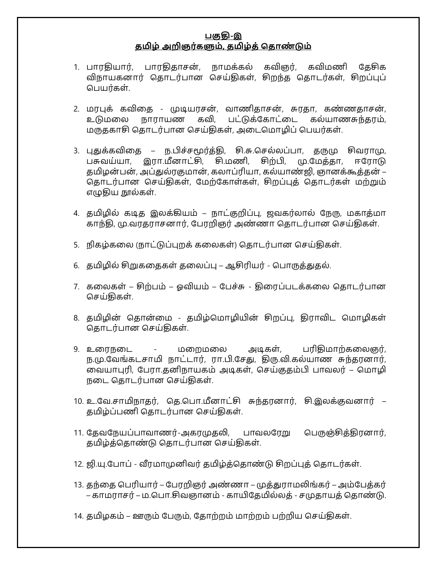#### பகுகி-<u>இ</u> <u>தமிழ் அறிஞர்களும், தமிழ்த் தொண்டும்</u>

- 1. பாரதியார், பாரதிதாசன், நாமக்கல் கவிஞர், கவிமணி தேசிக விநாயகனார் தொடர்பான செய்திகள், சிறந்த தொடர்கள், சிறப்புப் பெயர்கள்.
- 2. மரபுக் கவிதை முடியரசன், வாணிதாசன், சுரதா, கண்ணதாசன், உடுமலை நாராயண கவி, பட்டுக்கோட்டை கல்யாணசுந்தரம், மருதகாசி தொடர்பான செய்திகள், அடைமொழிப் பெயர்கள்.
- 3. புதுக்கவிதை ந.பிச்சமூர்த்தி, சி.சு.செல்லப்பா, தருமு சிவராமு, பசுவய்யா, இரா.மீனாட்சி, சி.மணி, சிற்பி, மு.மேத்தா, ஈரோடு தமிழன்பன், அப்துல்ரகுமான், கலாப்ரியா, கல்யாண்ஜி, ஞானக்கூத்தன் – தொடர்பான செய்திகள், மேற்கோள்கள், சிறப்புத் தொடர்கள் மற்றும் எழுதிய நூல்கள்.
- 4. தமிழில் கடித இலக்கியம் நாட்குறிப்பு, ஜவகர்லால் நேரு, மகாத்மா காந்தி, மு.வரதராசனார், பேரறிஞர் அண்ணா தொடர்பான செய்திகள்.
- 5. . நிகழ்கலை (நாட்டுப்புறக் கலைகள்) தொடர்பான செய்திகள்.
- 6. தமிழில் சிறுகதைகள் தலைப்பு ஆசிரியர் பொருத்துதல்.
- 7. கலைகள் சிற்பம் ஓவியம் பேச்சு திரைப்படக்கலை தொடர்பான செய்திகள்.
- 8. தமிழின் தொன்மை தமிழ்மொழியின் சிறப்பு, திராவிட மொழிகள் தொடர்பான செய்திகள்.
- 9. உரைநடை மறைமலை அடிகள், பரிதிமாற்கலைஞர், ந.மு.வேங்கடசாமி நாட்டார், ரா.பி.சேது, திரு.வி.கல்யாண சுந்தரனார், வையாபுரி, பேரா.தனிநாயகம் அடிகள், செய்குதம்பி பாவலர் – மொழி நடை கொடர்பான செய்திகள்.
- 10. உ.வே.சாமிநாதர், தெ.பொ.மீனாட்சி சுந்தரனார், சி.இலக்குவனார் தமிழ்ப்பணி தொடர்பான செய்திகள்.
- 11. தேவநேயப்பாவாணர்-அகரமுதலி, பாவலரேறு பெருஞ்சித்திரனார், தமிழ்த்தொண்டு தொடர்பான செய்திகள்.
- 12. ஜி.யு.போப் வீரமாமுனிவர் தமிழ்த்தொண்டு சிறப்புத் தொடர்கள்.
- 13. தந்தை பெரியார் பேரறிஞர் அண்ணா முத்துராமலிங்கர் அம்பேத்கர் – காமராசர் – ம.பொ.சிவஞானம் - காயிதேமில்லத் - சமுதாயத் தொண்டு.
- 14. தமிழகம் ஊரும் பேரும், தோற்றம் மாற்றம் பற்றிய செய்திகள்.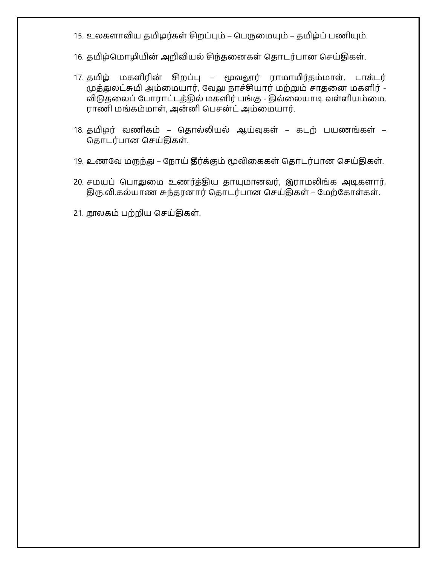- 15. உலகளாவிய தமிழர்கள் சிறப்பும் பெருமையும் தமிழ்ப் பணியும்.
- 16. தமிழ்மொழியின் அறிவியல் சிந்தனைகள் தொடர்பான செய்திகள்.
- 17. தமிழ் மகளிரின் சிறப்பு மூவலூர் ராமாமிர்தம்மாள், டாக்டர் முத்துலட்சுமி அம்மையார், வேலு நாச்சியார் மற்றும் சாதனை மகளிர் -விடுதலைப் போராட்டத்தில் மகளிர் பங்கு - தில்லையாடி வள்ளியம்மை, ராணி மங்கம்மாள், அன்னி பெசன்ட் அம்மையார்.
- 18. தமிழர் வணிகம் தொல்லியல் ஆய்வுகள் கடற் பயணங்கள் தொடர்பான செய்திகள்.
- 19. உணவே மருந்து நோய் தீர்க்கும் மூலிகைகள் தொடர்பான செய்திகள்.
- 20. சமயப் பொதுமை உணர்த்திய தாயுமானவர், இராமலிங்க அடிகளார், திரு.வி.கல்யாண சுந்தரனார் தொடர்பான செய்திகள் – மேற்கோள்கள்.
- 21. நூலகம் பற்றிய செய்திகள்.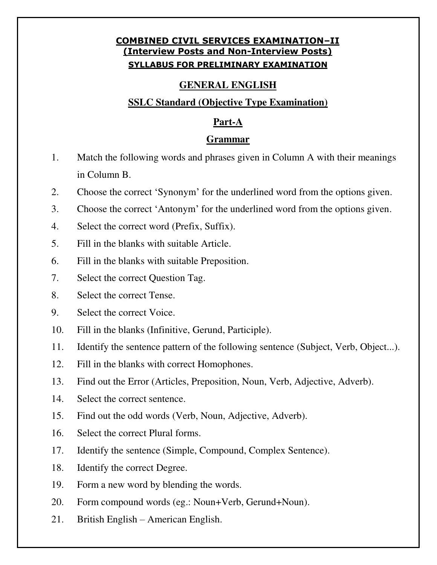## **COMBINED CIVIL SERVICES EXAMINATION-II (Interview Posts and Non-Interview Posts) SYLLABUS FOR PRELIMINARY EXAMINATION**

## **GENERAL ENGLISH**

## **SSLC Standard (Objective Type Examination)**

### **Part-A**

### **Grammar**

- 1. Match the following words and phrases given in Column A with their meanings in Column B.
- 2. Choose the correct 'Synonym' for the underlined word from the options given.
- 3. Choose the correct 'Antonym' for the underlined word from the options given.
- 4. Select the correct word (Prefix, Suffix).
- 5. Fill in the blanks with suitable Article.
- 6. Fill in the blanks with suitable Preposition.
- 7. Select the correct Question Tag.
- 8. Select the correct Tense.
- 9. Select the correct Voice.
- 10. Fill in the blanks (Infinitive, Gerund, Participle).
- 11. Identify the sentence pattern of the following sentence (Subject, Verb, Object...).
- 12. Fill in the blanks with correct Homophones.
- 13. Find out the Error (Articles, Preposition, Noun, Verb, Adjective, Adverb).
- 14. Select the correct sentence.
- 15. Find out the odd words (Verb, Noun, Adjective, Adverb).
- 16. Select the correct Plural forms.
- 17. Identify the sentence (Simple, Compound, Complex Sentence).
- 18. Identify the correct Degree.
- 19. Form a new word by blending the words.
- 20. Form compound words (eg.: Noun+Verb, Gerund+Noun).
- 21. British English  $-\overline{\text{American English}}$ .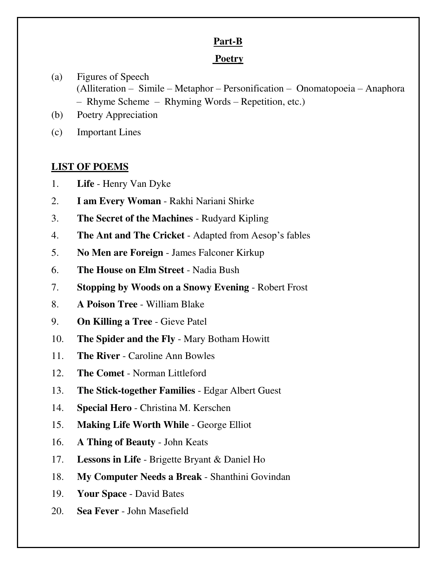### **Part-B**

## **Poetry**

- (a) Figures of Speech  $(Alliteration - Simile - Metaphor - Personification - Onomatopoeia - Anaphora)$  $-$  Rhyme Scheme  $-$  Rhyming Words  $-$  Repetition, etc.)
- (b) Poetry Appreciation
- (c) Important Lines

## **LIST OF POEMS**

- 1. **Life** Henry Van Dyke
- 2. **I am Every Woman** Rakhi Nariani Shirke
- 3. **The Secret of the Machines** Rudyard Kipling
- 4. **The Ant and The Cricket** Adapted from Aesop's fables
- 5. **No Men are Foreign** James Falconer Kirkup
- 6. **The House on Elm Street** Nadia Bush
- 7. **Stopping by Woods on a Snowy Evening** Robert Frost
- 8. **A Poison Tree** William Blake
- 9. **On Killing a Tree** Gieve Patel
- 10. **The Spider and the Fly** Mary Botham Howitt
- 11. **The River** Caroline Ann Bowles
- 12. **The Comet** Norman Littleford
- 13. **The Stick-together Families** Edgar Albert Guest
- 14. **Special Hero** Christina M. Kerschen
- 15. **Making Life Worth While** George Elliot
- 16. **A Thing of Beauty** John Keats
- 17. **Lessons in Life** Brigette Bryant & Daniel Ho
- 18. **My Computer Needs a Break** Shanthini Govindan
- 19. **Your Space** David Bates
- 20. **Sea Fever** John Masefield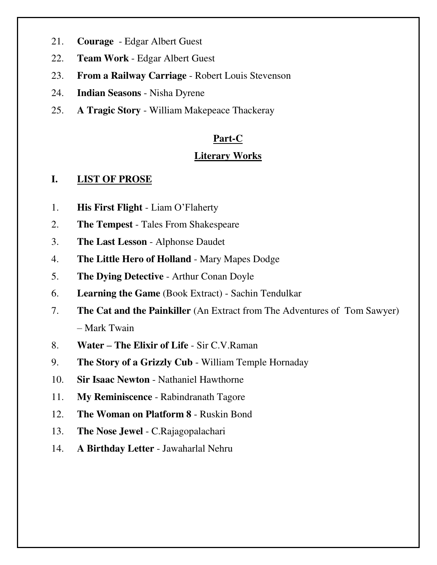- 21. **Courage** Edgar Albert Guest
- 22. **Team Work** Edgar Albert Guest
- 23. **From a Railway Carriage** Robert Louis Stevenson
- 24. **Indian Seasons**  Nisha Dyrene
- 25. **A Tragic Story** William Makepeace Thackeray

## **Part-C**

### **Literary Works**

#### **I. LIST OF PROSE**

- 1. **His First Flight** Liam O'Flaherty
- 2. **The Tempest** Tales From Shakespeare
- 3. **The Last Lesson** Alphonse Daudet
- 4. **The Little Hero of Holland** Mary Mapes Dodge
- 5. **The Dying Detective** Arthur Conan Doyle
- 6. **Learning the Game** (Book Extract) Sachin Tendulkar
- 7. **The Cat and the Painkiller** (An Extract from The Adventures of Tom Sawyer)  $-$  Mark Twain
- 8. **Water The Elixir of Life** Sir C.V.Raman
- 9. **The Story of a Grizzly Cub** William Temple Hornaday
- 10. **Sir Isaac Newton** Nathaniel Hawthorne
- 11. **My Reminiscence** Rabindranath Tagore
- 12. **The Woman on Platform 8** Ruskin Bond
- 13. **The Nose Jewel** C.Rajagopalachari
- 14. **A Birthday Letter** Jawaharlal Nehru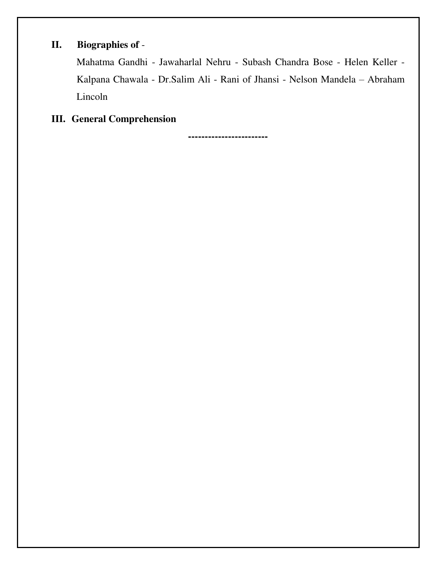## **II. Biographies of** -

Mahatma Gandhi - Jawaharlal Nehru - Subash Chandra Bose - Helen Keller - Kalpana Chawala - Dr.Salim Ali - Rani of Jhansi - Nelson Mandela - Abraham Lincoln

# **III. General Comprehension**

**------------------------**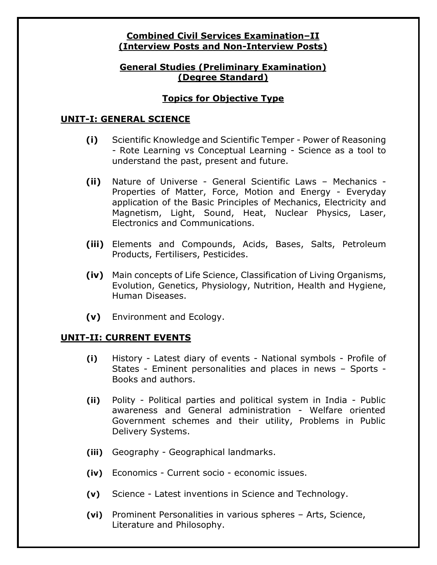#### **Combined Civil Services Examination-II (Interview Posts and Non-Interview Posts)**

### **General Studies (Preliminary Examination) (Degree Standard)**

## **Topics for Objective Type**

#### **UNIT-I: GENERAL SCIENCE**

- **(i)** Scientific Knowledge and Scientific Temper Power of Reasoning - Rote Learning vs Conceptual Learning - Science as a tool to understand the past, present and future.
- **(ii)** Nature of Universe General Scientific Laws Mechanics -Properties of Matter, Force, Motion and Energy - Everyday application of the Basic Principles of Mechanics, Electricity and Magnetism, Light, Sound, Heat, Nuclear Physics, Laser, Electronics and Communications.
- **(iii)** Elements and Compounds, Acids, Bases, Salts, Petroleum Products, Fertilisers, Pesticides.
- **(iv)** Main concepts of Life Science, Classification of Living Organisms, Evolution, Genetics, Physiology, Nutrition, Health and Hygiene, Human Diseases.
- **(v)** Environment and Ecology.

#### **UNIT-II: CURRENT EVENTS**

- **(i)** History Latest diary of events National symbols Profile of States - Eminent personalities and places in news - Sports -Books and authors.
- **(ii)** Polity Political parties and political system in India Public awareness and General administration - Welfare oriented Government schemes and their utility, Problems in Public Delivery Systems.
- **(iii)** Geography Geographical landmarks.
- **(iv)** Economics Current socio economic issues.
- **(v)** Science Latest inventions in Science and Technology.
- **(vi)** Prominent Personalities in various spheres Arts, Science, Literature and Philosophy.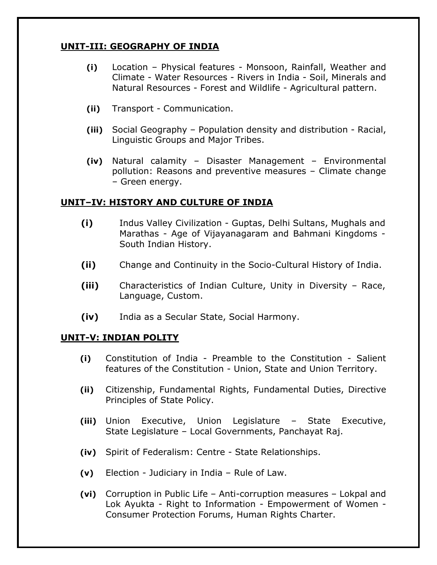## **UNIT-III: GEOGRAPHY OF INDIA**

- **(i)** Location Physical features Monsoon, Rainfall, Weather and Climate - Water Resources - Rivers in India - Soil, Minerals and Natural Resources - Forest and Wildlife - Agricultural pattern.
- **(ii)** Transport Communication.
- **(iii)** Social Geography Population density and distribution Racial, Linguistic Groups and Major Tribes.
- **(iv)** Natural calamity Disaster Management Environmental pollution: Reasons and preventive measures - Climate change ± Green energy.

#### **UNIT**±**IV: HISTORY AND CULTURE OF INDIA**

- **(i)** Indus Valley Civilization Guptas, Delhi Sultans, Mughals and Marathas - Age of Vijayanagaram and Bahmani Kingdoms - South Indian History.
- **(ii)** Change and Continuity in the Socio-Cultural History of India.
- **(iii)** Characteristics of Indian Culture, Unity in Diversity Race, Language, Custom.
- **(iv)** India as a Secular State, Social Harmony.

#### **UNIT-V: INDIAN POLITY**

- **(i)** Constitution of India Preamble to the Constitution Salient features of the Constitution - Union, State and Union Territory.
- **(ii)** Citizenship, Fundamental Rights, Fundamental Duties, Directive Principles of State Policy.
- **(iii)** Union Executive, Union Legislature State Executive, State Legislature - Local Governments, Panchayat Raj.
- **(iv)** Spirit of Federalism: Centre State Relationships.
- **(v)** Election Judiciary in India Rule of Law.
- **(vi)** Corruption in Public Life Anti-corruption measures Lokpal and Lok Ayukta - Right to Information - Empowerment of Women - Consumer Protection Forums, Human Rights Charter.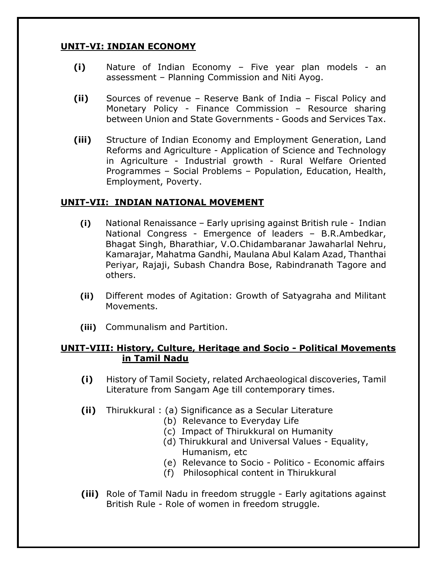## **UNIT-VI: INDIAN ECONOMY**

- **(i)** Nature of Indian Economy Five year plan models an assessment – Planning Commission and Niti Ayog.
- **(ii)** Sources of revenue Reserve Bank of India Fiscal Policy and Monetary Policy - Finance Commission – Resource sharing between Union and State Governments - Goods and Services Tax.
- **(iii)** Structure of Indian Economy and Employment Generation, Land Reforms and Agriculture - Application of Science and Technology in Agriculture - Industrial growth - Rural Welfare Oriented Programmes - Social Problems - Population, Education, Health, Employment, Poverty.

### **UNIT-VII: INDIAN NATIONAL MOVEMENT**

- **(i)** National Renaissance Early uprising against British rule Indian National Congress - Emergence of leaders - B.R.Ambedkar, Bhagat Singh, Bharathiar, V.O.Chidambaranar Jawaharlal Nehru, Kamarajar, Mahatma Gandhi, Maulana Abul Kalam Azad, Thanthai Periyar, Rajaji, Subash Chandra Bose, Rabindranath Tagore and others.
- **(ii)** Different modes of Agitation: Growth of Satyagraha and Militant Movements.
- **(iii)** Communalism and Partition.

#### **UNIT-VIII: History, Culture, Heritage and Socio - Political Movements in Tamil Nadu**

- **(i)** History of Tamil Society, related Archaeological discoveries, Tamil Literature from Sangam Age till contemporary times.
- **(ii)** Thirukkural : (a) Significance as a Secular Literature
	- (b) Relevance to Everyday Life
	- (c) Impact of Thirukkural on Humanity
	- (d) Thirukkural and Universal Values Equality, Humanism, etc
	- (e) Relevance to Socio Politico Economic affairs
	- (f) Philosophical content in Thirukkural
- **(iii)** Role of Tamil Nadu in freedom struggle Early agitations against British Rule - Role of women in freedom struggle.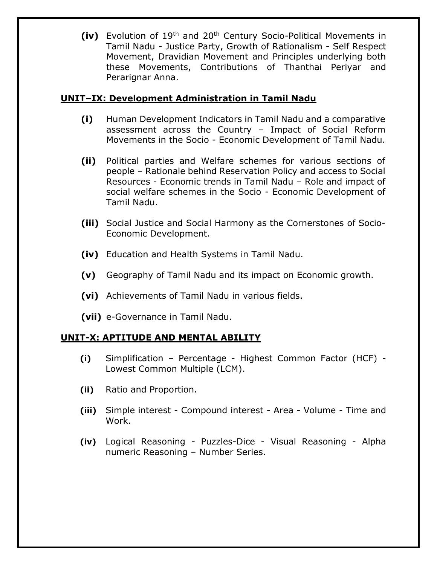**(iv)** Evolution of 19th and 20th Century Socio-Political Movements in Tamil Nadu - Justice Party, Growth of Rationalism - Self Respect Movement, Dravidian Movement and Principles underlying both these Movements, Contributions of Thanthai Periyar and Perarignar Anna.

### **UNIT**±**IX: Development Administration in Tamil Nadu**

- **(i)** Human Development Indicators in Tamil Nadu and a comparative assessment across the Country - Impact of Social Reform Movements in the Socio - Economic Development of Tamil Nadu.
- **(ii)** Political parties and Welfare schemes for various sections of people – Rationale behind Reservation Policy and access to Social Resources - Economic trends in Tamil Nadu - Role and impact of social welfare schemes in the Socio - Economic Development of Tamil Nadu.
- **(iii)** Social Justice and Social Harmony as the Cornerstones of Socio-Economic Development.
- **(iv)** Education and Health Systems in Tamil Nadu.
- **(v)** Geography of Tamil Nadu and its impact on Economic growth.
- **(vi)** Achievements of Tamil Nadu in various fields.
- **(vii)** e-Governance in Tamil Nadu.

### **UNIT-X: APTITUDE AND MENTAL ABILITY**

- **(i)** Simplification ± Percentage Highest Common Factor (HCF) Lowest Common Multiple (LCM).
- **(ii)** Ratio and Proportion.
- **(iii)** Simple interest Compound interest Area Volume Time and Work.
- **(iv)** Logical Reasoning Puzzles-Dice Visual Reasoning Alpha numeric Reasoning - Number Series.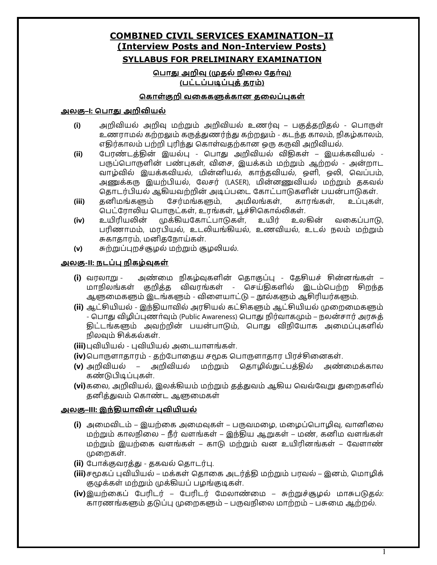### **COMBINED CIVIL SERVICES EXAMINATION**±**II (Interview Posts and Non-Interview Posts) SYLLABUS FOR PRELIMINARY EXAMINATION**

பொது அறிவு (முதல் நிலை தேர்வு) **(**ஜஜூஜஜஂஜ**)** 

#### கொள்குறி வகைகளுக்கான தலைப்புகள்

#### அலகு–I: பொது அ**றிவியல்**

- (i) அறிவியல் அறிவு மற்றும் அறிவியல் உணர்வு பகுத்தறிதல் பொருள் உணராமல் கற்றலும் கருத்துணர்ந்து கற்றலும் - கடந்த காலம், நிகழ்காலம், எதிர்காலம் பற்றி புரிந்து கொள்வதற்கான ஒரு கருவி அறிவியல்.
- <mark>(ii)</mark> பேரண்டத்தின் இயல்பு பொது அறிவியல் விதிகள் இயக்கவியல் -பருப்பொருளின் பண்புகள், விசை, இயக்கம் மற்றும் ஆற்றல் - அன்றாட வாழ்வில் இயக்கவியல், மின்னியல், காந்தவியல், ஒளி, ஒலி, வெப்பம், அணுக்கரு இயற்பியல், லேசர் (LASER), மின்னணுவியல் மற்றும் ககவல் தொடர்பியல் ஆகியவற்றின் அடிப்படை கோட்பாடுகளின் பயன்பாடுகள்.
- **(iii)** கனிமங்களும் சேர்மங்களும், அமிலங்கள், காரங்கள், உப்பகள், பெட்ரோலிய பொருட்கள், உரங்கள், பூச்சிகொல்லிகள்.
- <mark>(iv)</mark> உயிரியலின் முக்கியகோட்பாடுகள், உயிர் உலகின் வகைப்பாடு, பரிணாமம், மரபியல், உடலியங்கியல், உணவியல், உடல் நலம் மற்றும் சுகாதாரம், மனிதநோய்கள்.
- **(v)** சுற்றுப்புறச்சூழல் மற்றும் சூழலியல்.

#### <u>அலகு-II: நடப்பு நிகழ்வுகள்</u>

- (i) வரலாறு அண்மை நிகழ்வுகளின் தொகுப்பு தேசியச் சின்னங்கள் மாநிலங்கள் குறித்த விவரங்கள் - செய்திகளில் இடம்பெற்ற சிறந்த ஆளுமைகளும் இடங்களும் - விளையாட்டு – நூல்களும் ஆசிரியர்களும்.
- <mark>(ii)</mark> ஆட்சியியல் இந்தியாவில் அரசியல் கட்சிகளும் ஆட்சியியல் முறைமைகளும் - பொது விழிப்புணர்வும் (Public Awareness) பொது நிர்வாகமும் – நலன்சார் அரசுத் திட்டங்களும் அவற்றின் பயன்பாடும், பொது விநியோக அமைப்புகளில் நிலவும் சிக்கல்கள்.
- **(iii)**புவியியல் புவியியல் அடையாளங்கள்.
- (iv) பொருளாதாரம் தற்போதைய சமூக பொருளாதார பிரச்சினைகள்.
- <mark>(v)</mark> அறிவியல் அறிவியல் மற்றும் தொழில்நுட்பத்தில் அண்மைக்கால கண்டுபிடிப்புகள்.
- **(vi)** கலை, அறிவியல், இலக்கியம் மற்றும் கக்துவம் ஆகிய வெவ்வேறு துறைகளில் கனிக்துவம் கொண்ட ஆளுமைகள்

#### அலகு–III: இந்**தியாவின் பவியியல்**

- **(i)** அமைவிடம் இயற்கை அமைவுகள் பருவமழை, மழைப்பொழிவு, வானிலை மற்றும் காலநிலை – நீர் வளங்கள் – இந்திய ஆறுகள் – மண், கனிம வளங்கள் மற்றும் இயற்கை வளங்கள் – காடு மற்றும் வன உயிரினங்கள் – வேளாண் முறைகள்.
- **(ii)** போக்குவரத்து தகவல் தொடர்பு.
- **(iii)**சமூகப் புவியியல் மக்கள் தொகை அடர்த்தி மற்றும் பரவல் இனம், மொழிக் குழுக்கள் மற்றும் முக்கியப் பழங்குடிகள்.
- **(iv)** இயற்கைப் பேரிடர் பேரிடர் மேலாண்மை சுற்றுச்சூழல் மாசுபடுதல்: காரணங்களும் கடுப்பு முறைகளும் – பருவநிலை மாற்றம் – பசுமை ஆற்றல்.

1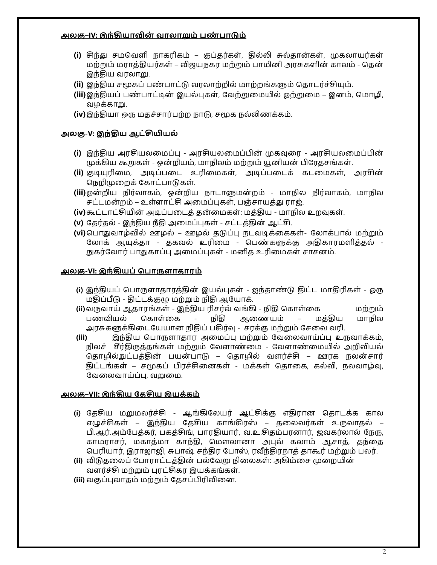#### அலகு–IV: இந்தியாவின் வரலாறும் பண்பாடும்

- (i) சிந்து சமவெளி நாகரிகம் குப்தர்கள், தில்லி சுல்தான்கள், முகலாயர்கள் மற்றும் மராத்தியர்கள் – விஜயநகர மற்றும் பாமினி அரசுகளின் காலம் - தென் இந்திய வரலாறு.
- **(ii)** இந்திய சமூகப் பண்பாட்டு வரலாற்றில் மாற்றங்களும் தொடர்ச்சியும்.
- **(iii)**இந்தியப் பண்பாட்டின் இயல்புகள், வேற்றுமையில் ஒற்றுமை இனம், மொழி, வழக்காறு.
- **(iv)** இந்தியா ஒரு மதச்சார்பற்ற நாடு, சமூக நல்லிணக்கம்.

#### அலகு-V: இந்**திய ஆட்சியியல்**

- (i) இந்திய அரசியலமைப்பு அரசியலமைப்பின் முகவுரை அரசியலமைப்பின் முக்கிய கூறுகள் - ஒன்றியம், மாநிலம் மற்றும் யூனியன் பிரேதசங்கள்.
- **(ii)** குடியுரிமை, அடிப்படை உரிமைகள், அடிப்படைக் கடமைகள், அரசின் நெறிமுறைக் கோட்பாடுகள்.
- <mark>(iii)</mark> ஒன்றிய நிர்வாகம், ஒன்றிய நாடாளுமன்றம் மாநில நிர்வாகம், மாநில சட்டமன்றம் – உள்ளாட்சி அமைப்புகள், பஞ்சாயத்து ராஜ்.
- **(iv)** கூட்டாட்சியின் அடிப்படைத் தன்மைகள்: மத்திய மாநில உறவுகள்.
- <mark>(v)</mark> தேர்தல் இந்திய நீதி அமைப்புகள் சட்டத்தின் ஆட்சி.
- <mark>(vi)</mark>பொதுவாழ்வில் ஊழல் ஊழல் தடுப்பு நடவடிக்கைகள்- லோக்பால் மற்றும் லோக் ஆயுக்கா - தகவல் உரிமை - பெண்களுக்கு அதிகாரமளித்தல் -நுகர்வோர் பாதுகாப்பு அமைப்புகள் - மனித உரிமைகள் சாசனம்.

#### <u>அலகு-VI: இந்தியப் பொருளாதாரம்</u>

- (i) இந்தியப் பொருளாதாரத்தின் இயல்புகள் ஐந்தாண்டு திட்ட மாதிரிகள் ஒரு மதிப்பீடு - திட்டக்குழு மற்றும் நிதி ஆயோக்.
- **(ii)**உஉஏஃஜ ୬ஏஜ୷இஜ ୭ஜொஃ ஐஜஉஜ உஜழ ஐொ ୷ஏஇஜ୷ ஂஅஜஂஜ பணவியல் கொள்கை - நிதி ஆணையம் – மக்திய மாநில அரசுகளுக்கிடையேயான நிதிப் பகிர்வு - சரக்கு மற்றும் சேவை வரி.
- <mark>(iii) இந்திய பொருளாதார அமைப்பு மற்றும் வேலைவாய்ப்பு உருவாக்கம்,</mark> நிலச் சீர்திருத்தங்கள் மற்றும் வேளாண்மை - வேளாண்மையில் அறிவியல் தொழில்நுட்பத்தின் பயன்பாடு – தொழில் வளர்ச்சி – ஊரக நலன்சார் திட்டங்கள் – சமூகப் பிரச்சினைகள் - மக்கள் தொகை, கல்வி, நலவாழ்வு, வேலைவாய்ப்பு, வறுமை.

#### அலகு–VII: இந்திய தேசிய இயக்கம்

- <mark>(i)</mark> தேசிய மறுமலர்ச்சி ஆங்கிலேயர் ஆட்சிக்கு எதிரான தொடக்க கால எழுச்சிகள் – இந்திய தேசிய காங்கிரஸ் – தலைவர்கள் உருவாதல் – பி.ஆர்.அம்பேத்கர், பகத்சிங், பாரதியார், வ.உ.சிதம்பரனார், ஜவகர்லால் நேரு, காமராசர், மகாத்மா காந்தி, மௌலானா அபுல் கலாம் ஆசாத், தந்தை பெரியார், இராஜாஜி, சுபாஷ் சந்திர போஸ், ரவீந்திரநாத் தாகூர் மற்றும் பலர்.
- **(ii)** விடுதலைப் போராட்டத்தின் பல்வேறு நிலைகள்: அகிம்சை முறையின் வளர்ச்சி மற்றும் புரட்சிகர இயக்கங்கள்.
- **(iii)** வகுப்புவாதம் மற்றும் கேசப்பிரிவினை.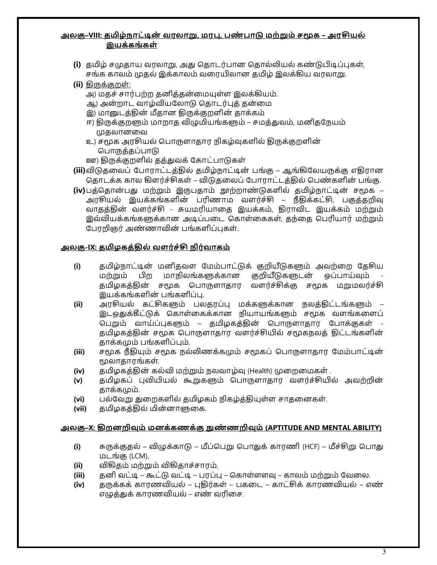#### அலகு–VIII: தமிழ்நாட்டின் வரலாறு, மரபு, பண்பாடு மற்றும் சமூக – அரசியல் இயக்கங்கள்

- (i) தமிழ் சமுதாய வரலாறு, அது தொடர்பான தொல்லியல் கண்டுபிடிப்புகள், சங்க காலம் முதல் இக்காலம் வரையிலான தமிழ் இலக்கிய வரலாறு.
- **(ii)** கிருக்குறள்:
	- அ) மதச் சார்பற்ற தனித்தன்மையுள்ள இலக்கியம்.
	- ஆ) அன்றாட வாழ்வியலோடு தொடர்புத் தன்மை
	- இ) மானுடத்தின் மீதான திருக்குறளின் தாக்கம்
	- ஈ) திருக்குறளும் மாறாத விழுமியங்களும் சமத்துவம், மனிதநேயம் முகலானவை
	- உ) சமூக அரசியல் பொருளாதார நிகழ்வுகளில் திருக்குறளின் பொருத்தப்பாடு
	- ஊ) திருக்குறளில் தத்துவக் கோட்பாடுகள்
- **(iii)**விடுதலைப் போராட்டத்தில் தமிழ்நாட்டின் பங்கு ஆங்கிலேயருக்கு எதிரான தொடக்க கால கிளர்ச்சிகள் – விடுதலைப் போராட்டத்தில் பெண்களின் பங்கு.
- (iv)பத்தொன்பது மற்றும் இருபதாம் நூற்றாண்டுகளில் தமிழ்நாட்டின் சமூக அரசியல் இயக்கங்களின் பரிணாம வளர்ச்சி – நீதிக்கட்சி, பகுத்தறிவு வாதத்தின் வளர்ச்சி - சுயமரியாதை இயக்கம், திராவிட இயக்கம் மற்றும் இவ்வியக்கங்களுக்கான அடிப்படை கொள்கைகள், தந்தை பெரியார் மற்றும் பேரறிஞர் அண்ணாவின் பங்களிப்புகள்.

#### <u>அலகு-IX: தமிழகத்தில் வளர்ச்சி நிர்வாகம்</u>

- (i) சுதமிழ்நாட்டின் மனிதவள மேம்பாட்டுக் குறியீடுகளும் அவற்றை தே<del>ச</del>ிய மற்றும் பிற மாநிலங்களுக்கான குறியீடுகளுடன் ஒப்பாய்வும் தமிழகத்தின் சமூக பொருளாதார வளர்ச்சிக்கு சமூக மறுமலர்ச்சி இயக்கங்களின் பங்களிப்பு.
- **(ii)** அரசியல் கட்சிகளும் பலதரப்பு மக்களுக்கான நலத்திட்டங்களும் இடஒதுக்கீட்டுக் கொள்கைக்கான நியாயங்களும் சமூக வளங்களைப் பெறும் வாய்ப்புகளும் – தமிழகத்தின் பொருளாதார போக்குகள் தமிழகத்தின் சமூக பொருளாதார வளர்ச்சியில் சமூகநலத் திட்டங்களின் காக்கமும் பங்களிப்பும்.
- **(iii)** சமூக நீதியும் சமூக நல்லிணக்கமும் சமூகப் பொருளாதார மேம்பாட்டின் மூலாதாரங்கள்.
- **(iv)** தமிழகத்தின் கல்வி மற்றும் நலவாழ்வு (Health) முறைமைகள் .
- <mark>(v)</mark> சுமிழகப் பவியியல் கூறுகளும் பொருளாகார வளர்ச்சியில் அவற்றின் தாக்கமும்.
- **(vi)** பல்வேறு துறைகளில் தமிழகம் நிகழ்த்தியுள்ள சாதனைகள்.
- **(vii)** தமிழகத்தில் மின்னாளுகை.

#### <u>அலகு–X: திறனறிவும் மனக்கணக்கு நுண்ணறிவும் (APTITUDE AND MENTAL ABILITY)</u>

- (i) சுருக்குதல் விழுக்காடு மீப்பெறு பொதுக் காரணி (HCF) மீச்சிறு பொது மடங்கு (LCM).
- **(ii)** விகிதம் மற்றும் விகிதாச்சாரம்.
- **(iii)** தனி வட்டி கூட்டு வட்டி பரப்பு கொள்ளளவு காலம் மற்றும் வேலை.
- **(iv)** தருக்கக் காரணவியல் புதிர்கள் பகடை காட்சிக் காரணவியல் எண் எழுத்துக் காரணவியல் – எண் வரிசை.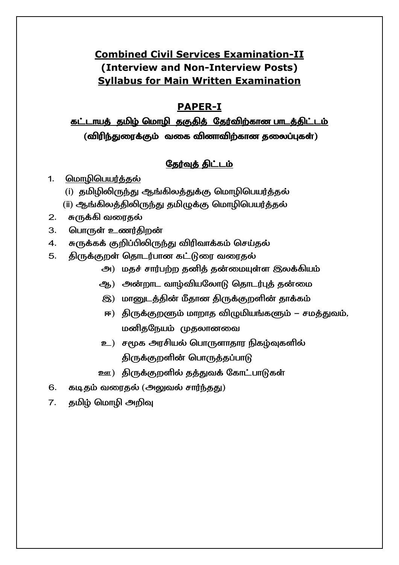# **Combined Civil Services Examination-II** (Interview and Non-Interview Posts) **Syllabus for Main Written Examination**

# **PAPER-I**

# கட்டாயத் தமிழ் மொழி தகுதித் தேர்விற்கான பாடத்திட்டம் (விரிந்துரைக்கும் வகை வினாவிற்கான தலைப்புகள்)

## <u>தேர்வுத் திட்டம்</u>

- $1.$ மொழிபெயர்த்தல்
	- (i) தமிழிலிருந்து ஆங்கிலத்துக்கு மொழிபெயர்த்தல்
	- (ii) ஆங்கிலத்திலிருந்து தமிழுக்கு மொழிபெயர்த்தல்
- சுருக்கி வரைதல்  $2.$
- 3. பொருள் உணர்திறன்
- சுருக்கக் குறிப்பிலிருந்து விரிவாக்கம் செய்தல் 4.
- திருக்குறள் தொடர்பான கட்டுரை வரைதல் 5.
	- அ) மதச் சார்பற்ற தனித் தன்மையுள்ள இலக்கியம்
	- ஆ) அன்றாட வாழ்வியலோடு தொடர்புத் தன்மை
	- இ) மானுடத்தின் மீதான திருக்குறளின் தாக்கம்
	- ஈ) திருக்குறளும் மாறாத விழுமியங்களும் சமத்துவம், மனிதநேயம் முதலானவை
	- உ) சமூக அரசியல் பொருளாதார நிகழ்வுகளில் திருக்குறளின் பொருத்தப்பாடு
	- ஊ) திருக்குறளில் தத்துவக் கோட்பாடுகள்
- 6. கடிதம் வரைதல் (அலுவல் சார்ந்தது)
- தமிழ் மொழி அறிவு  $\overline{7}$ .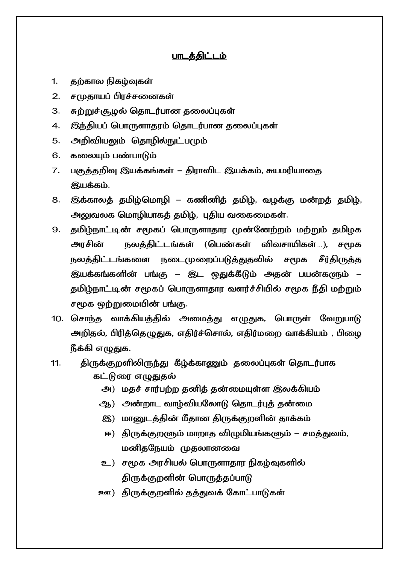#### பாடக்கிட்டம்

- $\mathbf{1}$ . தற்கால நிகழ்வுகள்
- $2.$ சமுதாயப் பிரச்சனைகள்
- 3. சுற்றுச்சூழல் தொடர்பான தலைப்புகள்
- இந்தியப் பொருளாதரம் தொடர்பான தலைப்புகள்  $\overline{4}$ .
- அறிவியலும் தொழில்நுட்பமும் 5.
- கலையும் பண்பாடும் 6.
- பகுத்தறிவு இயக்கங்கள் திராவிட இயக்கம், சுயமரியாதை 7. இயக்கம்.
- இக்காலத் தமிழ்மொழி கணினித் தமிழ், வழக்கு மன்றத் தமிழ், 8. அலுவலக மொழியாகத் தமிழ், புதிய வகைமைகள்.
- தமிழ்நாட்டின் சமூகப் பொருளாதார முன்னேற்றம் மற்றும் தமிழக 9. அாசின் நலத்திட்டங்கள் (பெண்கள் விவசாயிகள்…), சமூக நலத்திட்டங்களை நடைமுறைப்படுத்துதலில் சமூக சீர்திருத்த இயக்கங்களின் பங்கு – இட ஒதுக்கீடும் அதன் பயன்களும் – தமிழ்நாட்டின் சமூகப் பொருளாதார வளர்ச்சியில் சமூக நீதி மற்றும் சமூக ஒற்றுமையின் பங்கு.
- 10. சொந்த வாக்கியத்தில் அமைத்து எழுதுக, பொருள் வேறுபாடு அறிதல், பிரித்தெழுதுக, எதிர்ச்சொல், எதிர்மறை வாக்கியம் , பிழை நீக்கி எழுதுக.
- திருக்குறளிலிருந்து கீழ்க்காணும் தலைப்புகள் தொடர்பாக  $11.$ கட்டுரை எழுதுதல்
	- அ) மதச் சார்பற்ற தனித் தன்மையுள்ள இலக்கியம்
	- ஆ) அன்றாட வாழ்வியலோடு தொடர்புக் தன்மை
	- இ) மானுடத்தின் மீதான திருக்குறளின் தாக்கம்
	- ஈ) திருக்குறளும் மாறாத விழுமியங்களும் சமத்துவம், மனிதநேயம் முதலானவை
	- உ) சமூக அரசியல் பொருளாதார நிகழ்வுகளில் திருக்குறளின் பொருத்தப்பாடு
	- ஊ) திருக்குறளில் தத்துவக் கோட்பாடுகள்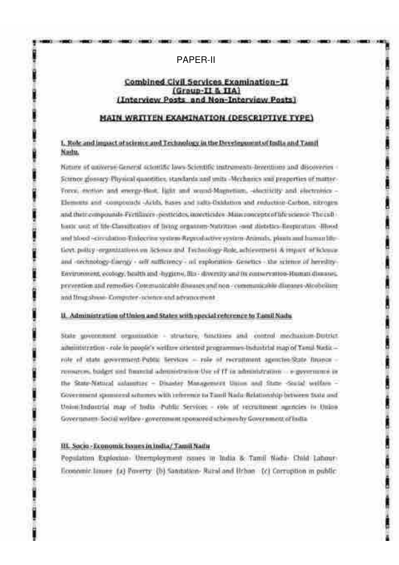#### **PAPFR-II**

#### Combined Civil Services Examination-II (Group-II & IIA) (Interview Posts and Non-Interview Posts)

**Distance in the Control of the Control of the Control of the Control of the Control of the Control of the Control of the Control of the Control of the Control of the Control of the Control of the Control of the Control of** 

#### MAIN WRITTEN EXAMINATION (DESCRIPTIVE TYPE)

#### 1. Role and impact of science and Technology in the Development of India and Tamil Naite.

Nature of quiverse General scientific laws-Scientific textraments-leveritions and discoveries -Scureor glossary Physical quantities, standards and units -Mechanics sun properties of matter-Force, methor and strongs-Hast, light and sound-Magnetian, -identicity and electronics -Elements and -complement -Actds, bases and salts-Oxidation and reduction-Carbon, nitrogenand their compounds Fictilizers -pexticides interdendes Main rencepto of life science The cultliestic unit of life-Classification of Britig erganism-Nativities coul distribu-Bespiration -Blockand histori-corrulation-Emiscrine system-Reproductive system-Animals, plants and human lifefloyt policy organizations on Science and Technology-Role, advicement & impact of Khence. and -technology-flampy - self-sufficiency - ad exploration- Genetics - the science of heredity-Environment, ecology, health and -hygiene, Bla - diversity and its conservation-Human diseases. provention and remedies Communicable dissusses and non-communicable diagones-Alcobeliam: and Ilmg shaan- Computer - science and advancement

#### II. Administration of thion and States with special reference to Tamil Nady.

State government organization - structure, functions and control mechanism-Dutrict. ailmitteration - role in people's writter cricated programmes industrial map of Tamil Natiorole of state government-Public Services - role of recruitment-agencies-State finance remarces, bodget and financial administration Use of IT in administration - e-government in the State-Natural automotive - Disaster Management Union and these -Social welfare -Government sponsored schemes with reference to Taxell Nada Relationship between \$604 and Unimidadoutial may of holis Public Services - role of recruitment agencies in those. Government-Social writtee - government spousored schemes by Government of India -

#### III. Socio - Economic Issues in India/ Tamil Nathr

Population Explosion: Unemployment comes in India & Tamii Nada- Child Labourficonomic lames: (a) Poverty: (b) Sanstation- Rural and Urban (c) Corruption in public